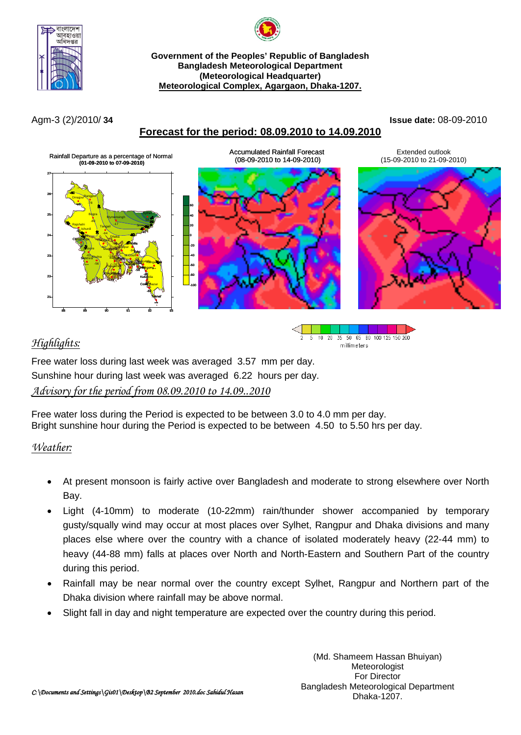



#### **Government of the Peoples' Republic of Bangladesh Bangladesh Meteorological Department (Meteorological Headquarter) Meteorological Complex, Agargaon, Dhaka-1207.**

## **Forecast for the period: 08.09.2010 to 14.09.2010**

Agm-3 (2)/2010/ **34 Issue date:** 08-09-2010



# *Highlights:*



Free water loss during last week was averaged 3.57 mm per day. Sunshine hour during last week was averaged 6.22 hours per day. *Advisory for the period from 08.09.2010 to 14.09..2010*

Free water loss during the Period is expected to be between 3.0 to 4.0 mm per day. Bright sunshine hour during the Period is expected to be between 4.50 to 5.50 hrs per day.

### *Weather:*

- At present monsoon is fairly active over Bangladesh and moderate to strong elsewhere over North Bay.
- Light (4-10mm) to moderate (10-22mm) rain/thunder shower accompanied by temporary gusty/squally wind may occur at most places over Sylhet, Rangpur and Dhaka divisions and many places else where over the country with a chance of isolated moderately heavy (22-44 mm) to heavy (44-88 mm) falls at places over North and North-Eastern and Southern Part of the country during this period.
- Rainfall may be near normal over the country except Sylhet, Rangpur and Northern part of the Dhaka division where rainfall may be above normal.
- Slight fall in day and night temperature are expected over the country during this period.

(Md. Shameem Hassan Bhuiyan) **Meteorologist** For Director Bangladesh Meteorological Department Dhaka-1207.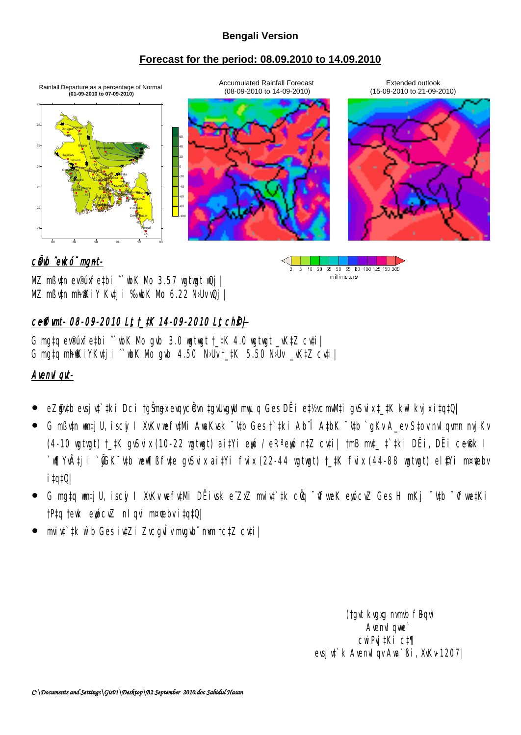### **Bengali Version**

### **Forecast for the period: 08.09.2010 to 14.09.2010**



10 20 35 50 65 80 100 125 150 200

millimeters

 $5\,$ 

# cůwb ^ewkó¨ mgnt-

MZ mßv‡n ev®úxfe‡bi ^wbK Mo 3.57 wgtwgt wQj | MZ mßv‡n mhfKiY Kv‡ji ‰vbK Mo 6.22 N›Uv wQj |

# ceffimt- 08-09-2010 Lt t\_tK 14-09-2010 Lt ch<sup>®</sup>ł

G mgtg ev®úxfetbi  $\hat{\ }$  wbK Mo gvb 3.0 wgtwgt †  $\frac{1}{2}K$  4.0 wgtwgt vK $\frac{1}{2}Z$  cv $\frac{1}{2}$ i G mgta mh $\mathbb K$ iYKvti i `wbK Mo gvb 4.50 N>Uv †  $\mathbb K$  5.50 N>Uv vK $\mathbb K$ Z cvtil

# Avenvi qvt-

- eZ@ytb evsjyt`tki Dci †gŠmgx evqycëvn tgyUvgyU mwµq Ges DËi et½vcmvMti gySvix ‡ tK kw<sup>3</sup>kvjx itgtQ|
- G mßutn wmti U, iscyi I XvKv wefu‡Mi AwaKvsk ~utb Ges †`tki Ab¨Î AtbK ~utb `qKv A\_ev Stov nvl qumn nvj Kv  $(4-10$  wgtwgt) †  $\ddagger$ K gvSvix (10-22 wgtwgt) ai $\ddagger$ Yi ewó / eR<sup>a</sup> ewó n $\ddagger$ Z cv $\ddagger$ i| †mB mv $\ddagger$   $\ddagger$  $\ddagger$ ki DËi, DËi ce $\Re$ k I `w¶Yv‡ji `@̃GK¯¢tb wew¶ßfv‡e gvSvix ai‡Yi fvix (22–44 wgtwgt) †\_‡K fvix (44–88 wgtwgt) el\$Yi m¤¢ebv i‡q‡Q|
- G mg‡q wm‡jU, iscyi I XvKv wefy‡Mi DËivsk e¨ZxZ mviv‡`‡k cÖg ¯^fweK ewócvZ Ges H mKj ¯'y‡b ¯^fwe‡Ki  $|P \nuparrow q|$  tewk ewócvZ nl qvi m¤ $\text{Re}$ bv i $|q \nuparrow Q|$
- mviv‡`‡k w`b Ges iv‡Zi ZvcgvÎv mvgvb¨ n«vm †c‡Z cv‡i|

(tgvt kvgxg nvmvb fBqv) Avenv<sub>I</sub> qwe cwiPvj‡Ki c‡¶ evsjv‡`k AvenvIqv Awa`ßi, XvKv-1207|